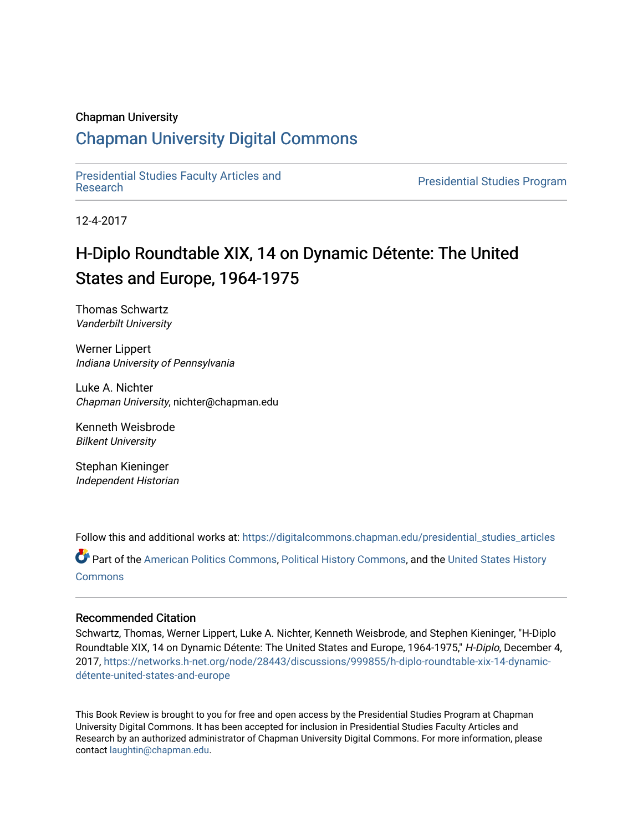#### Chapman University

# [Chapman University Digital Commons](https://digitalcommons.chapman.edu/)

[Presidential Studies Faculty Articles and](https://digitalcommons.chapman.edu/presidential_studies_articles) 

**Presidential Studies Program** 

12-4-2017

# H-Diplo Roundtable XIX, 14 on Dynamic Détente: The United States and Europe, 1964-1975

Thomas Schwartz Vanderbilt University

Werner Lippert Indiana University of Pennsylvania

Luke A. Nichter Chapman University, nichter@chapman.edu

Kenneth Weisbrode Bilkent University

Stephan Kieninger Independent Historian

Follow this and additional works at: [https://digitalcommons.chapman.edu/presidential\\_studies\\_articles](https://digitalcommons.chapman.edu/presidential_studies_articles?utm_source=digitalcommons.chapman.edu%2Fpresidential_studies_articles%2F15&utm_medium=PDF&utm_campaign=PDFCoverPages) 

Part of the [American Politics Commons,](http://network.bepress.com/hgg/discipline/387?utm_source=digitalcommons.chapman.edu%2Fpresidential_studies_articles%2F15&utm_medium=PDF&utm_campaign=PDFCoverPages) [Political History Commons,](http://network.bepress.com/hgg/discipline/505?utm_source=digitalcommons.chapman.edu%2Fpresidential_studies_articles%2F15&utm_medium=PDF&utm_campaign=PDFCoverPages) and the [United States History](http://network.bepress.com/hgg/discipline/495?utm_source=digitalcommons.chapman.edu%2Fpresidential_studies_articles%2F15&utm_medium=PDF&utm_campaign=PDFCoverPages) **[Commons](http://network.bepress.com/hgg/discipline/495?utm_source=digitalcommons.chapman.edu%2Fpresidential_studies_articles%2F15&utm_medium=PDF&utm_campaign=PDFCoverPages)** 

#### Recommended Citation

Schwartz, Thomas, Werner Lippert, Luke A. Nichter, Kenneth Weisbrode, and Stephen Kieninger, "H-Diplo Roundtable XIX, 14 on Dynamic Détente: The United States and Europe, 1964-1975," H-Diplo, December 4, 2017, [https://networks.h-net.org/node/28443/discussions/999855/h-diplo-roundtable-xix-14-dynamic](https://networks.h-net.org/node/28443/discussions/999855/h-diplo-roundtable-xix-14-dynamic-d%C3%A9tente-united-states-and-europe)[détente-united-states-and-europe](https://networks.h-net.org/node/28443/discussions/999855/h-diplo-roundtable-xix-14-dynamic-d%C3%A9tente-united-states-and-europe)

This Book Review is brought to you for free and open access by the Presidential Studies Program at Chapman University Digital Commons. It has been accepted for inclusion in Presidential Studies Faculty Articles and Research by an authorized administrator of Chapman University Digital Commons. For more information, please contact [laughtin@chapman.edu](mailto:laughtin@chapman.edu).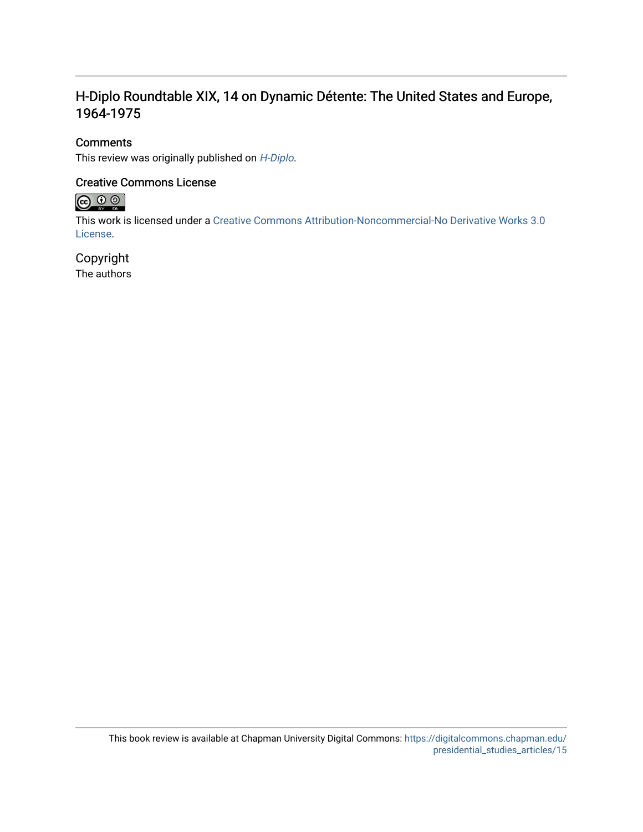# H-Diplo Roundtable XIX, 14 on Dynamic Détente: The United States and Europe, 1964-1975

# **Comments**

This review was originally published on [H-Diplo](https://networks.h-net.org/node/28443/discussions/999855/h-diplo-roundtable-xix-14-dynamic-d%C3%A9tente-united-states-and-europe).

# Creative Commons License



This work is licensed under a [Creative Commons Attribution-Noncommercial-No Derivative Works 3.0](https://creativecommons.org/licenses/by-nc-nd/3.0/) [License](https://creativecommons.org/licenses/by-nc-nd/3.0/).

# Copyright

The authors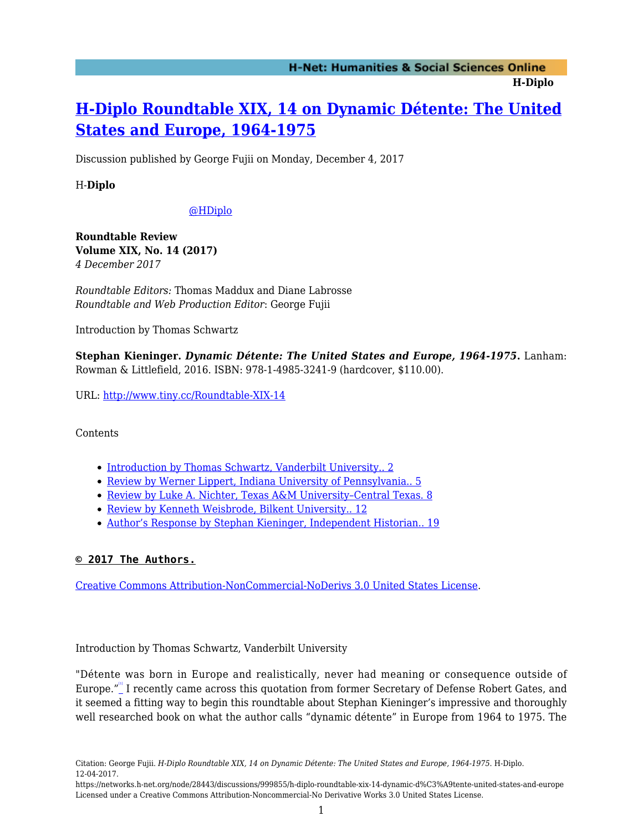# **[H-Diplo Roundtable XIX, 14 on Dynamic Détente: The United](https://networks.h-net.org/node/28443/discussions/999855/h-diplo-roundtable-xix-14-dynamic-d%C3%A9tente-united-states-and-europe) [States and Europe, 1964-1975](https://networks.h-net.org/node/28443/discussions/999855/h-diplo-roundtable-xix-14-dynamic-d%C3%A9tente-united-states-and-europe)**

Discussion published by George Fujii on Monday, December 4, 2017

H-**Diplo**

### [@HDiplo](https://www.twitter.com/HDiplo)

**Roundtable Review Volume XIX, No. 14 (2017)** *4 December 2017*

*Roundtable Editors:* Thomas Maddux and Diane Labrosse *Roundtable and Web Production Editor*: George Fujii

Introduction by Thomas Schwartz

**Stephan Kieninger.** *Dynamic Détente: The United States and Europe, 1964-1975***.** Lanham: Rowman & Littlefield, 2016. ISBN: 978-1-4985-3241-9 (hardcover, \$110.00).

URL:<http://www.tiny.cc/Roundtable-XIX-14>

Contents

- [Introduction by Thomas Schwartz, Vanderbilt University.. 2](#page-2-0)
- [Review by Werner Lippert, Indiana University of Pennsylvania.. 5](#page-5-0)
- Review by Luke A. Nichter, Texas A&M University-Central Texas. 8
- [Review by Kenneth Weisbrode, Bilkent University.. 12](#page-9-0)
- [Author's Response by Stephan Kieninger, Independent Historian.. 19](#page-15-0)

# **© 2017 The Authors.**

[Creative Commons Attribution-NonCommercial-NoDerivs 3.0 United States License](https://creativecommons.org/licenses/by-nc-nd/3.0/us/).

<span id="page-2-1"></span><span id="page-2-0"></span>Introduction by Thomas Schwartz, Vanderbilt University

"Détente was born in Europe and realistically, never had meaning or consequence outside of Europe." I recently came across this quotation from former Secretary of Defense Robert Gates, and it seemed a fitting way to begin this roundtable about Stephan Kieninger's impressive and thoroughly well researched book on what the author calls "dynamic détente" in Europe from 1964 to 1975. The

Citation: George Fujii. *H-Diplo Roundtable XIX, 14 on Dynamic Détente: The United States and Europe, 1964-1975*. H-Diplo. 12-04-2017.

https://networks.h-net.org/node/28443/discussions/999855/h-diplo-roundtable-xix-14-dynamic-d%C3%A9tente-united-states-and-europe Licensed under a Creative Commons Attribution-Noncommercial-No Derivative Works 3.0 United States License.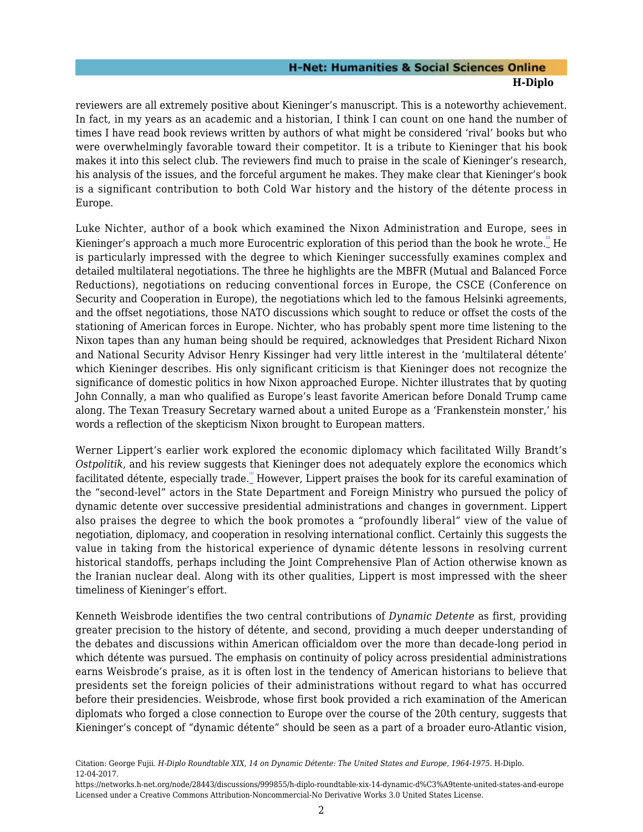reviewers are all extremely positive about Kieninger's manuscript. This is a noteworthy achievement. In fact, in my years as an academic and a historian, I think I can count on one hand the number of times I have read book reviews written by authors of what might be considered 'rival' books but who were overwhelmingly favorable toward their competitor. It is a tribute to Kieninger that his book makes it into this select club. The reviewers find much to praise in the scale of Kieninger's research, his analysis of the issues, and the forceful argument he makes. They make clear that Kieninger's book is a significant contribution to both Cold War history and the history of the détente process in Europe.

<span id="page-3-0"></span>Luke Nichter, author of a book which examined the Nixon Administration and Europe, sees in Kieninger's approach a much more Eurocentric exploration of this period than the book he wrote. He is particularly impressed with the degree to which Kieninger successfully examines complex and detailed multilateral negotiations. The three he highlights are the MBFR (Mutual and Balanced Force Reductions), negotiations on reducing conventional forces in Europe, the CSCE (Conference on Security and Cooperation in Europe), the negotiations which led to the famous Helsinki agreements, and the offset negotiations, those NATO discussions which sought to reduce or offset the costs of the stationing of American forces in Europe. Nichter, who has probably spent more time listening to the Nixon tapes than any human being should be required, acknowledges that President Richard Nixon and National Security Advisor Henry Kissinger had very little interest in the 'multilateral détente' which Kieninger describes. His only significant criticism is that Kieninger does not recognize the significance of domestic politics in how Nixon approached Europe. Nichter illustrates that by quoting John Connally, a man who qualified as Europe's least favorite American before Donald Trump came along. The Texan Treasury Secretary warned about a united Europe as a 'Frankenstein monster,' his words a reflection of the skepticism Nixon brought to European matters.

<span id="page-3-1"></span>Werner Lippert's earlier work explored the economic diplomacy which facilitated Willy Brandt's *Ostpolitik*, and his review suggests that Kieninger does not adequately explore the economics which facilitated détente, especially trade. Let However, Lippert praises the book for its careful examination of the "second-level" actors in the State Department and Foreign Ministry who pursued the policy of dynamic detente over successive presidential administrations and changes in government. Lippert also praises the degree to which the book promotes a "profoundly liberal" view of the value of negotiation, diplomacy, and cooperation in resolving international conflict. Certainly this suggests the value in taking from the historical experience of dynamic détente lessons in resolving current historical standoffs, perhaps including the Joint Comprehensive Plan of Action otherwise known as the Iranian nuclear deal. Along with its other qualities, Lippert is most impressed with the sheer timeliness of Kieninger's effort.

Kenneth Weisbrode identifies the two central contributions of *Dynamic Detente* as first, providing greater precision to the history of détente, and second, providing a much deeper understanding of the debates and discussions within American officialdom over the more than decade-long period in which détente was pursued. The emphasis on continuity of policy across presidential administrations earns Weisbrode's praise, as it is often lost in the tendency of American historians to believe that presidents set the foreign policies of their administrations without regard to what has occurred before their presidencies. Weisbrode, whose first book provided a rich examination of the American diplomats who forged a close connection to Europe over the course of the 20th century, suggests that Kieninger's concept of "dynamic détente" should be seen as a part of a broader euro-Atlantic vision,

<span id="page-3-2"></span>Citation: George Fujii. *H-Diplo Roundtable XIX, 14 on Dynamic Détente: The United States and Europe, 1964-1975*. H-Diplo. 12-04-2017.

https://networks.h-net.org/node/28443/discussions/999855/h-diplo-roundtable-xix-14-dynamic-d%C3%A9tente-united-states-and-europe Licensed under a Creative Commons Attribution-Noncommercial-No Derivative Works 3.0 United States License.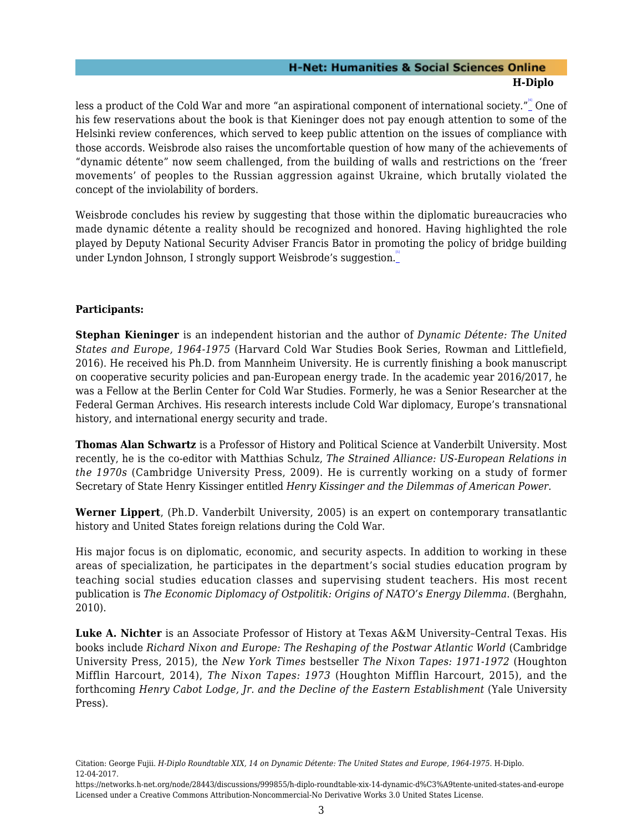less a product of the Cold War and more "an aspirational component of international society."\_" One of his few reservations about the book is that Kieninger does not pay enough attention to some of the Helsinki review conferences, which served to keep public attention on the issues of compliance with those accords. Weisbrode also raises the uncomfortable question of how many of the achievements of "dynamic détente" now seem challenged, from the building of walls and restrictions on the 'freer movements' of peoples to the Russian aggression against Ukraine, which brutally violated the concept of the inviolability of borders.

<span id="page-4-0"></span>Weisbrode concludes his review by suggesting that those within the diplomatic bureaucracies who made dynamic détente a reality should be recognized and honored. Having highlighted the role played by Deputy National Security Adviser Francis Bator in promoting the policy of bridge building under Lyndon Johnson, I strongly support Weisbrode's suggestion.

#### **Participants:**

**Stephan Kieninger** is an independent historian and the author of *Dynamic Détente: The United States and Europe, 1964-1975* (Harvard Cold War Studies Book Series, Rowman and Littlefield, 2016). He received his Ph.D. from Mannheim University. He is currently finishing a book manuscript on cooperative security policies and pan-European energy trade. In the academic year 2016/2017, he was a Fellow at the Berlin Center for Cold War Studies. Formerly, he was a Senior Researcher at the Federal German Archives. His research interests include Cold War diplomacy, Europe's transnational history, and international energy security and trade.

**Thomas Alan Schwartz** is a Professor of History and Political Science at Vanderbilt University. Most recently, he is the co-editor with Matthias Schulz, *The Strained Alliance: US-European Relations in the 1970s* (Cambridge University Press, 2009). He is currently working on a study of former Secretary of State Henry Kissinger entitled *Henry Kissinger and the Dilemmas of American Power.*

**Werner Lippert**, (Ph.D. Vanderbilt University, 2005) is an expert on contemporary transatlantic history and United States foreign relations during the Cold War.

His major focus is on diplomatic, economic, and security aspects. In addition to working in these areas of specialization, he participates in the department's social studies education program by teaching social studies education classes and supervising student teachers. His most recent publication is *The Economic Diplomacy of Ostpolitik: Origins of NATO's Energy Dilemma*. (Berghahn, 2010).

**Luke A. Nichter** is an Associate Professor of History at Texas A&M University–Central Texas. His books include *Richard Nixon and Europe: The Reshaping of the Postwar Atlantic World* (Cambridge University Press, 2015), the *New York Times* bestseller *The Nixon Tapes: 1971-1972* (Houghton Mifflin Harcourt, 2014), *The Nixon Tapes: 1973* (Houghton Mifflin Harcourt, 2015), and the forthcoming *Henry Cabot Lodge, Jr. and the Decline of the Eastern Establishment* (Yale University Press).

Citation: George Fujii. *H-Diplo Roundtable XIX, 14 on Dynamic Détente: The United States and Europe, 1964-1975*. H-Diplo. 12-04-2017.

https://networks.h-net.org/node/28443/discussions/999855/h-diplo-roundtable-xix-14-dynamic-d%C3%A9tente-united-states-and-europe Licensed under a Creative Commons Attribution-Noncommercial-No Derivative Works 3.0 United States License.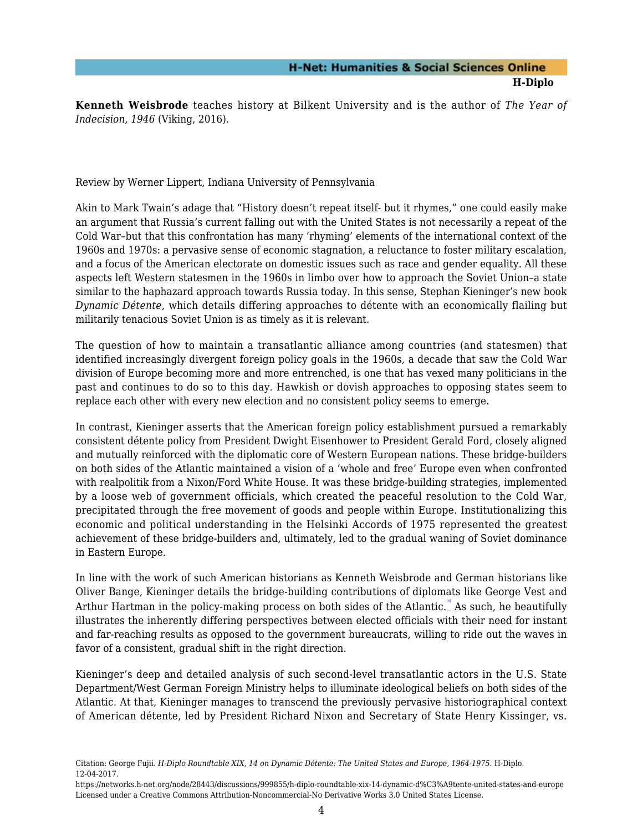**Kenneth Weisbrode** teaches history at Bilkent University and is the author of *The Year of Indecision, 1946* (Viking, 2016).

<span id="page-5-0"></span>Review by Werner Lippert, Indiana University of Pennsylvania

Akin to Mark Twain's adage that "History doesn't repeat itself- but it rhymes," one could easily make an argument that Russia's current falling out with the United States is not necessarily a repeat of the Cold War–but that this confrontation has many 'rhyming' elements of the international context of the 1960s and 1970s: a pervasive sense of economic stagnation, a reluctance to foster military escalation, and a focus of the American electorate on domestic issues such as race and gender equality. All these aspects left Western statesmen in the 1960s in limbo over how to approach the Soviet Union–a state similar to the haphazard approach towards Russia today. In this sense, Stephan Kieninger's new book *Dynamic Détente*, which details differing approaches to détente with an economically flailing but militarily tenacious Soviet Union is as timely as it is relevant.

The question of how to maintain a transatlantic alliance among countries (and statesmen) that identified increasingly divergent foreign policy goals in the 1960s, a decade that saw the Cold War division of Europe becoming more and more entrenched, is one that has vexed many politicians in the past and continues to do so to this day. Hawkish or dovish approaches to opposing states seem to replace each other with every new election and no consistent policy seems to emerge.

In contrast, Kieninger asserts that the American foreign policy establishment pursued a remarkably consistent détente policy from President Dwight Eisenhower to President Gerald Ford, closely aligned and mutually reinforced with the diplomatic core of Western European nations. These bridge-builders on both sides of the Atlantic maintained a vision of a 'whole and free' Europe even when confronted with realpolitik from a Nixon/Ford White House. It was these bridge-building strategies, implemented by a loose web of government officials, which created the peaceful resolution to the Cold War, precipitated through the free movement of goods and people within Europe. Institutionalizing this economic and political understanding in the Helsinki Accords of 1975 represented the greatest achievement of these bridge-builders and, ultimately, led to the gradual waning of Soviet dominance in Eastern Europe.

<span id="page-5-1"></span>In line with the work of such American historians as Kenneth Weisbrode and German historians like Oliver Bange, Kieninger details the bridge-building contributions of diplomats like George Vest and Arthur Hartman in the policy-making process on both sides of the Atlantic.  $\degree$  As such, he beautifully illustrates the inherently differing perspectives between elected officials with their need for instant and far-reaching results as opposed to the government bureaucrats, willing to ride out the waves in favor of a consistent, gradual shift in the right direction.

Kieninger's deep and detailed analysis of such second-level transatlantic actors in the U.S. State Department/West German Foreign Ministry helps to illuminate ideological beliefs on both sides of the Atlantic. At that, Kieninger manages to transcend the previously pervasive historiographical context of American détente, led by President Richard Nixon and Secretary of State Henry Kissinger, vs.

<span id="page-5-2"></span>Citation: George Fujii. *H-Diplo Roundtable XIX, 14 on Dynamic Détente: The United States and Europe, 1964-1975*. H-Diplo. 12-04-2017.

https://networks.h-net.org/node/28443/discussions/999855/h-diplo-roundtable-xix-14-dynamic-d%C3%A9tente-united-states-and-europe Licensed under a Creative Commons Attribution-Noncommercial-No Derivative Works 3.0 United States License.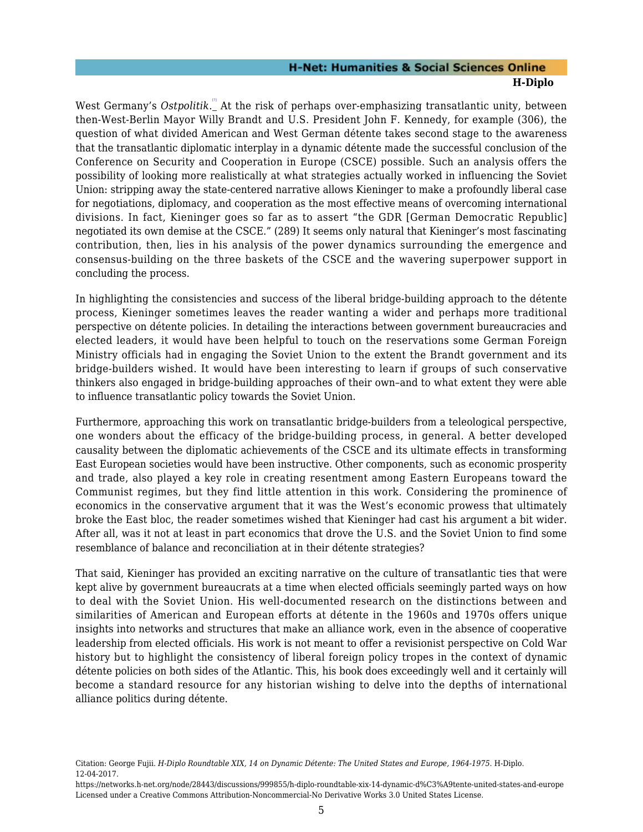West Germany's *Ostpolitik.*" At the risk of perhaps over-emphasizing transatlantic unity, between then-West-Berlin Mayor Willy Brandt and U.S. President John F. Kennedy, for example (306), the question of what divided American and West German détente takes second stage to the awareness that the transatlantic diplomatic interplay in a dynamic détente made the successful conclusion of the Conference on Security and Cooperation in Europe (CSCE) possible. Such an analysis offers the possibility of looking more realistically at what strategies actually worked in influencing the Soviet Union: stripping away the state-centered narrative allows Kieninger to make a profoundly liberal case for negotiations, diplomacy, and cooperation as the most effective means of overcoming international divisions. In fact, Kieninger goes so far as to assert "the GDR [German Democratic Republic] negotiated its own demise at the CSCE." (289) It seems only natural that Kieninger's most fascinating contribution, then, lies in his analysis of the power dynamics surrounding the emergence and consensus-building on the three baskets of the CSCE and the wavering superpower support in concluding the process.

In highlighting the consistencies and success of the liberal bridge-building approach to the détente process, Kieninger sometimes leaves the reader wanting a wider and perhaps more traditional perspective on détente policies. In detailing the interactions between government bureaucracies and elected leaders, it would have been helpful to touch on the reservations some German Foreign Ministry officials had in engaging the Soviet Union to the extent the Brandt government and its bridge-builders wished. It would have been interesting to learn if groups of such conservative thinkers also engaged in bridge-building approaches of their own–and to what extent they were able to influence transatlantic policy towards the Soviet Union.

Furthermore, approaching this work on transatlantic bridge-builders from a teleological perspective, one wonders about the efficacy of the bridge-building process, in general. A better developed causality between the diplomatic achievements of the CSCE and its ultimate effects in transforming East European societies would have been instructive. Other components, such as economic prosperity and trade, also played a key role in creating resentment among Eastern Europeans toward the Communist regimes, but they find little attention in this work. Considering the prominence of economics in the conservative argument that it was the West's economic prowess that ultimately broke the East bloc, the reader sometimes wished that Kieninger had cast his argument a bit wider. After all, was it not at least in part economics that drove the U.S. and the Soviet Union to find some resemblance of balance and reconciliation at in their détente strategies?

That said, Kieninger has provided an exciting narrative on the culture of transatlantic ties that were kept alive by government bureaucrats at a time when elected officials seemingly parted ways on how to deal with the Soviet Union. His well-documented research on the distinctions between and similarities of American and European efforts at détente in the 1960s and 1970s offers unique insights into networks and structures that make an alliance work, even in the absence of cooperative leadership from elected officials. His work is not meant to offer a revisionist perspective on Cold War history but to highlight the consistency of liberal foreign policy tropes in the context of dynamic détente policies on both sides of the Atlantic. This, his book does exceedingly well and it certainly will become a standard resource for any historian wishing to delve into the depths of international alliance politics during détente.

Citation: George Fujii. *H-Diplo Roundtable XIX, 14 on Dynamic Détente: The United States and Europe, 1964-1975*. H-Diplo. 12-04-2017.

https://networks.h-net.org/node/28443/discussions/999855/h-diplo-roundtable-xix-14-dynamic-d%C3%A9tente-united-states-and-europe Licensed under a Creative Commons Attribution-Noncommercial-No Derivative Works 3.0 United States License.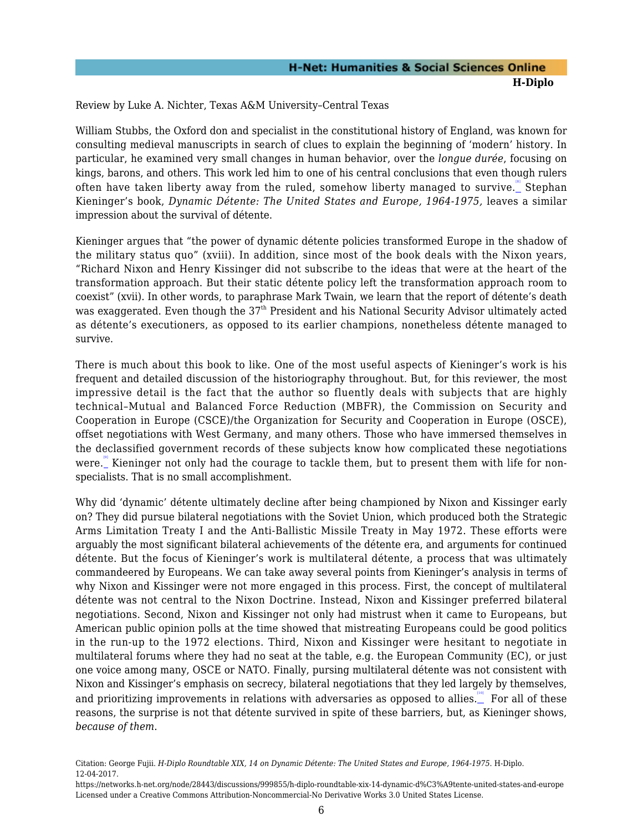<span id="page-7-0"></span>Review by Luke A. Nichter, Texas A&M University–Central Texas

<span id="page-7-1"></span>William Stubbs, the Oxford don and specialist in the constitutional history of England, was known for consulting medieval manuscripts in search of clues to explain the beginning of 'modern' history. In particular, he examined very small changes in human behavior, over the *longue durée*, focusing on kings, barons, and others. This work led him to one of his central conclusions that even though rulers often have taken liberty away from the ruled, somehow liberty managed to survive.\_ Stephan Kieninger's book, *Dynamic Détente: The United States and Europe, 1964-1975,* leaves a similar impression about the survival of détente.

Kieninger argues that "the power of dynamic détente policies transformed Europe in the shadow of the military status quo" (xviii). In addition, since most of the book deals with the Nixon years, "Richard Nixon and Henry Kissinger did not subscribe to the ideas that were at the heart of the transformation approach. But their static détente policy left the transformation approach room to coexist" (xvii). In other words, to paraphrase Mark Twain, we learn that the report of détente's death was exaggerated. Even though the 37<sup>th</sup> President and his National Security Advisor ultimately acted as détente's executioners, as opposed to its earlier champions, nonetheless détente managed to survive.

There is much about this book to like. One of the most useful aspects of Kieninger's work is his frequent and detailed discussion of the historiography throughout. But, for this reviewer, the most impressive detail is the fact that the author so fluently deals with subjects that are highly technical–Mutual and Balanced Force Reduction (MBFR), the Commission on Security and Cooperation in Europe (CSCE)/the Organization for Security and Cooperation in Europe (OSCE), offset negotiations with West Germany, and many others. Those who have immersed themselves in the declassified government records of these subjects know how complicated these negotiations were." Kieninger not only had the courage to tackle them, but to present them with life for nonspecialists. That is no small accomplishment.

<span id="page-7-2"></span>Why did 'dynamic' détente ultimately decline after being championed by Nixon and Kissinger early on? They did pursue bilateral negotiations with the Soviet Union, which produced both the Strategic Arms Limitation Treaty I and the Anti-Ballistic Missile Treaty in May 1972. These efforts were arguably the most significant bilateral achievements of the détente era, and arguments for continued détente. But the focus of Kieninger's work is multilateral détente, a process that was ultimately commandeered by Europeans. We can take away several points from Kieninger's analysis in terms of why Nixon and Kissinger were not more engaged in this process. First, the concept of multilateral détente was not central to the Nixon Doctrine. Instead, Nixon and Kissinger preferred bilateral negotiations. Second, Nixon and Kissinger not only had mistrust when it came to Europeans, but American public opinion polls at the time showed that mistreating Europeans could be good politics in the run-up to the 1972 elections. Third, Nixon and Kissinger were hesitant to negotiate in multilateral forums where they had no seat at the table, e.g. the European Community (EC), or just one voice among many, OSCE or NATO. Finally, pursing multilateral détente was not consistent with Nixon and Kissinger's emphasis on secrecy, bilateral negotiations that they led largely by themselves, and prioritizing improvements in relations with adversaries as opposed to allies.  $\overline{\ }$  For all of these reasons, the surprise is not that détente survived in spite of these barriers, but, as Kieninger shows, *because of them*.

<span id="page-7-3"></span>Citation: George Fujii. *H-Diplo Roundtable XIX, 14 on Dynamic Détente: The United States and Europe, 1964-1975*. H-Diplo. 12-04-2017.

https://networks.h-net.org/node/28443/discussions/999855/h-diplo-roundtable-xix-14-dynamic-d%C3%A9tente-united-states-and-europe Licensed under a Creative Commons Attribution-Noncommercial-No Derivative Works 3.0 United States License.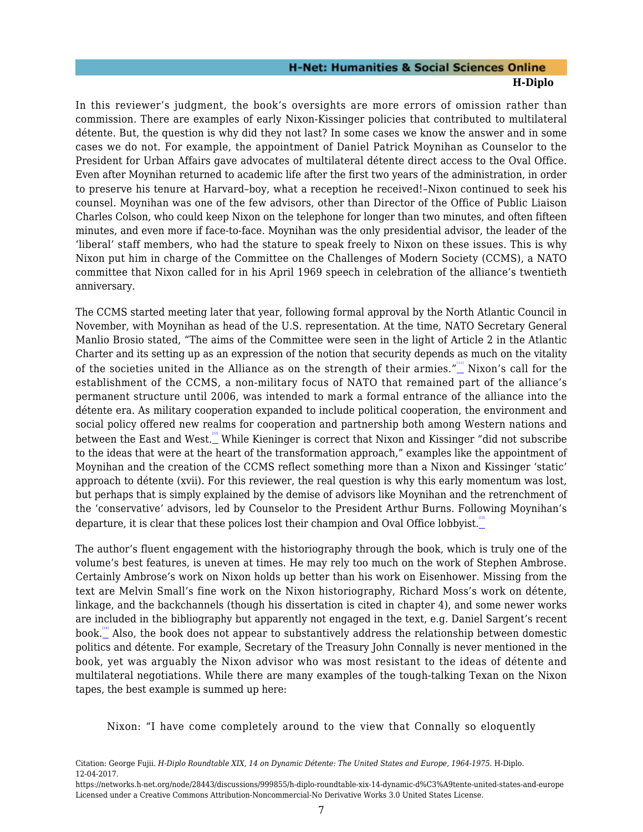In this reviewer's judgment, the book's oversights are more errors of omission rather than commission. There are examples of early Nixon-Kissinger policies that contributed to multilateral détente. But, the question is why did they not last? In some cases we know the answer and in some cases we do not. For example, the appointment of Daniel Patrick Moynihan as Counselor to the President for Urban Affairs gave advocates of multilateral détente direct access to the Oval Office. Even after Moynihan returned to academic life after the first two years of the administration, in order to preserve his tenure at Harvard–boy, what a reception he received!–Nixon continued to seek his counsel. Moynihan was one of the few advisors, other than Director of the Office of Public Liaison Charles Colson, who could keep Nixon on the telephone for longer than two minutes, and often fifteen minutes, and even more if face-to-face. Moynihan was the only presidential advisor, the leader of the 'liberal' staff members, who had the stature to speak freely to Nixon on these issues. This is why Nixon put him in charge of the Committee on the Challenges of Modern Society (CCMS), a NATO committee that Nixon called for in his April 1969 speech in celebration of the alliance's twentieth anniversary.

<span id="page-8-0"></span>The CCMS started meeting later that year, following formal approval by the North Atlantic Council in November, with Moynihan as head of the U.S. representation. At the time, NATO Secretary General Manlio Brosio stated, "The aims of the Committee were seen in the light of Article 2 in the Atlantic Charter and its setting up as an expression of the notion that security depends as much on the vitality of the societies united in the Alliance as on the strength of their armies." $\overset{'''}{\_}$  Nixon's call for the establishment of the CCMS, a non-military focus of NATO that remained part of the alliance's permanent structure until 2006, was intended to mark a formal entrance of the alliance into the détente era. As military cooperation expanded to include political cooperation, the environment and social policy offered new realms for cooperation and partnership both among Western nations and between the East and West...." While Kieninger is correct that Nixon and Kissinger "did not subscribe to the ideas that were at the heart of the transformation approach," examples like the appointment of Moynihan and the creation of the CCMS reflect something more than a Nixon and Kissinger 'static' approach to détente (xvii). For this reviewer, the real question is why this early momentum was lost, but perhaps that is simply explained by the demise of advisors like Moynihan and the retrenchment of the 'conservative' advisors, led by Counselor to the President Arthur Burns. Following Moynihan's departure, it is clear that these polices lost their champion and Oval Office lobbyist.

<span id="page-8-3"></span><span id="page-8-2"></span><span id="page-8-1"></span>The author's fluent engagement with the historiography through the book, which is truly one of the volume's best features, is uneven at times. He may rely too much on the work of Stephen Ambrose. Certainly Ambrose's work on Nixon holds up better than his work on Eisenhower. Missing from the text are Melvin Small's fine work on the Nixon historiography, Richard Moss's work on détente, linkage, and the backchannels (though his dissertation is cited in chapter 4), and some newer works are included in the bibliography but apparently not engaged in the text, e.g. Daniel Sargent's recent book." Also, the book does not appear to substantively address the relationship between domestic politics and détente. For example, Secretary of the Treasury John Connally is never mentioned in the book, yet was arguably the Nixon advisor who was most resistant to the ideas of détente and multilateral negotiations. While there are many examples of the tough-talking Texan on the Nixon tapes, the best example is summed up here:

Nixon: "I have come completely around to the view that Connally so eloquently

Citation: George Fujii. *H-Diplo Roundtable XIX, 14 on Dynamic Détente: The United States and Europe, 1964-1975*. H-Diplo. 12-04-2017.

https://networks.h-net.org/node/28443/discussions/999855/h-diplo-roundtable-xix-14-dynamic-d%C3%A9tente-united-states-and-europe Licensed under a Creative Commons Attribution-Noncommercial-No Derivative Works 3.0 United States License.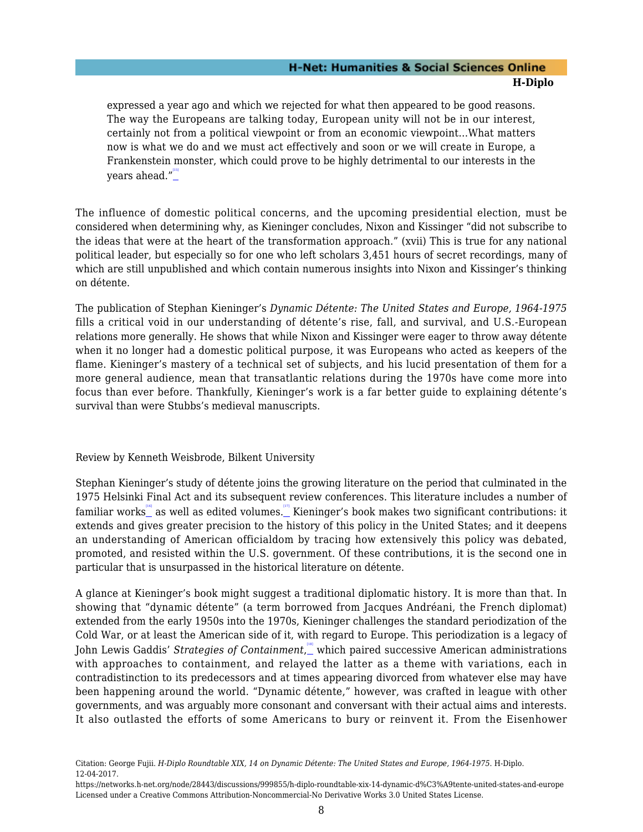expressed a year ago and which we rejected for what then appeared to be good reasons. The way the Europeans are talking today, European unity will not be in our interest, certainly not from a political viewpoint or from an economic viewpoint…What matters now is what we do and we must act effectively and soon or we will create in Europe, a Frankenstein monster, which could prove to be highly detrimental to our interests in the years ahead."<u>"</u>

<span id="page-9-1"></span>The influence of domestic political concerns, and the upcoming presidential election, must be considered when determining why, as Kieninger concludes, Nixon and Kissinger "did not subscribe to the ideas that were at the heart of the transformation approach." (xvii) This is true for any national political leader, but especially so for one who left scholars 3,451 hours of secret recordings, many of which are still unpublished and which contain numerous insights into Nixon and Kissinger's thinking on détente.

The publication of Stephan Kieninger's *Dynamic Détente: The United States and Europe, 1964-1975* fills a critical void in our understanding of détente's rise, fall, and survival, and U.S.-European relations more generally. He shows that while Nixon and Kissinger were eager to throw away détente when it no longer had a domestic political purpose, it was Europeans who acted as keepers of the flame. Kieninger's mastery of a technical set of subjects, and his lucid presentation of them for a more general audience, mean that transatlantic relations during the 1970s have come more into focus than ever before. Thankfully, Kieninger's work is a far better guide to explaining détente's survival than were Stubbs's medieval manuscripts.

#### <span id="page-9-0"></span>Review by Kenneth Weisbrode, Bilkent University

<span id="page-9-2"></span>Stephan Kieninger's study of détente joins the growing literature on the period that culminated in the 1975 Helsinki Final Act and its subsequent review conferences. This literature includes a number of familiar works\_" as well as edited volumes.\_" Kieninger's book makes two significant contributions: it extends and gives greater precision to the history of this policy in the United States; and it deepens an understanding of American officialdom by tracing how extensively this policy was debated, promoted, and resisted within the U.S. government. Of these contributions, it is the second one in particular that is unsurpassed in the historical literature on détente.

<span id="page-9-3"></span>A glance at Kieninger's book might suggest a traditional diplomatic history. It is more than that. In showing that "dynamic détente" (a term borrowed from Jacques Andréani, the French diplomat) extended from the early 1950s into the 1970s, Kieninger challenges the standard periodization of the Cold War, or at least the American side of it, with regard to Europe. This periodization is a legacy of John Lewis Gaddis' *Strategies of Containment,*\_which paired successive American administrations with approaches to containment, and relayed the latter as a theme with variations, each in contradistinction to its predecessors and at times appearing divorced from whatever else may have been happening around the world. "Dynamic détente," however, was crafted in league with other governments, and was arguably more consonant and conversant with their actual aims and interests. It also outlasted the efforts of some Americans to bury or reinvent it. From the Eisenhower

Citation: George Fujii. *H-Diplo Roundtable XIX, 14 on Dynamic Détente: The United States and Europe, 1964-1975*. H-Diplo. 12-04-2017.

https://networks.h-net.org/node/28443/discussions/999855/h-diplo-roundtable-xix-14-dynamic-d%C3%A9tente-united-states-and-europe Licensed under a Creative Commons Attribution-Noncommercial-No Derivative Works 3.0 United States License.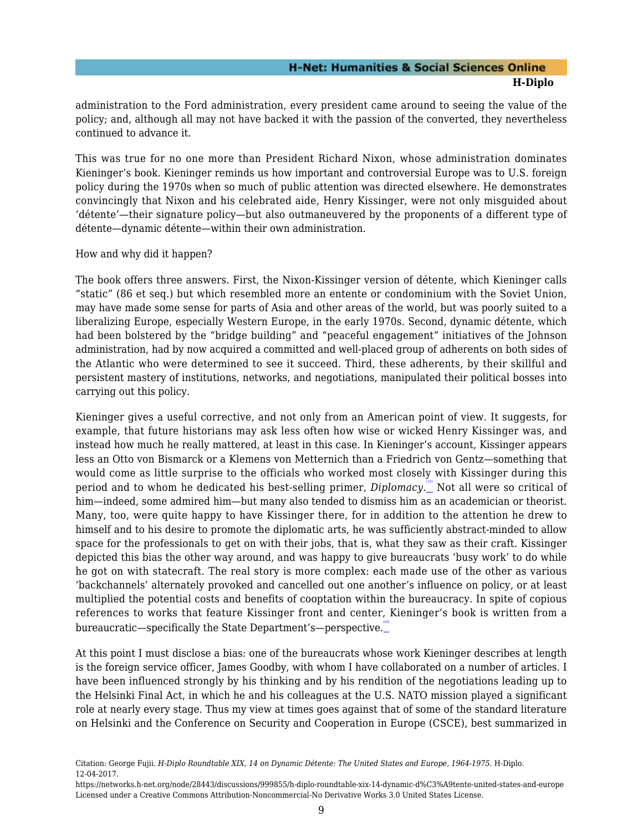administration to the Ford administration, every president came around to seeing the value of the policy; and, although all may not have backed it with the passion of the converted, they nevertheless continued to advance it.

This was true for no one more than President Richard Nixon, whose administration dominates Kieninger's book. Kieninger reminds us how important and controversial Europe was to U.S. foreign policy during the 1970s when so much of public attention was directed elsewhere. He demonstrates convincingly that Nixon and his celebrated aide, Henry Kissinger, were not only misguided about 'détente'—their signature policy—but also outmaneuvered by the proponents of a different type of détente—dynamic détente—within their own administration.

How and why did it happen?

The book offers three answers. First, the Nixon-Kissinger version of détente, which Kieninger calls "static" (86 et seq.) but which resembled more an entente or condominium with the Soviet Union, may have made some sense for parts of Asia and other areas of the world, but was poorly suited to a liberalizing Europe, especially Western Europe, in the early 1970s. Second, dynamic détente, which had been bolstered by the "bridge building" and "peaceful engagement" initiatives of the Johnson administration, had by now acquired a committed and well-placed group of adherents on both sides of the Atlantic who were determined to see it succeed. Third, these adherents, by their skillful and persistent mastery of institutions, networks, and negotiations, manipulated their political bosses into carrying out this policy.

<span id="page-10-0"></span>Kieninger gives a useful corrective, and not only from an American point of view. It suggests, for example, that future historians may ask less often how wise or wicked Henry Kissinger was, and instead how much he really mattered, at least in this case. In Kieninger's account, Kissinger appears less an Otto von Bismarck or a Klemens von Metternich than a Friedrich von Gentz—something that would come as little surprise to the officials who worked most closely with Kissinger during this period and to whom he dedicated his best-selling primer, *Diplomacy*. [\[19\]](#page-20-0) Not all were so critical of him—indeed, some admired him—but many also tended to dismiss him as an academician or theorist. Many, too, were quite happy to have Kissinger there, for in addition to the attention he drew to himself and to his desire to promote the diplomatic arts, he was sufficiently abstract-minded to allow space for the professionals to get on with their jobs, that is, what they saw as their craft. Kissinger depicted this bias the other way around, and was happy to give bureaucrats 'busy work' to do while he got on with statecraft. The real story is more complex: each made use of the other as various 'backchannels' alternately provoked and cancelled out one another's influence on policy, or at least multiplied the potential costs and benefits of cooptation within the bureaucracy. In spite of copious references to works that feature Kissinger front and center, Kieninger's book is written from a bureaucratic—specifically the State Department's—perspective.

<span id="page-10-1"></span>At this point I must disclose a bias: one of the bureaucrats whose work Kieninger describes at length is the foreign service officer, James Goodby, with whom I have collaborated on a number of articles. I have been influenced strongly by his thinking and by his rendition of the negotiations leading up to the Helsinki Final Act, in which he and his colleagues at the U.S. NATO mission played a significant role at nearly every stage. Thus my view at times goes against that of some of the standard literature on Helsinki and the Conference on Security and Cooperation in Europe (CSCE), best summarized in

Citation: George Fujii. *H-Diplo Roundtable XIX, 14 on Dynamic Détente: The United States and Europe, 1964-1975*. H-Diplo. 12-04-2017.

https://networks.h-net.org/node/28443/discussions/999855/h-diplo-roundtable-xix-14-dynamic-d%C3%A9tente-united-states-and-europe Licensed under a Creative Commons Attribution-Noncommercial-No Derivative Works 3.0 United States License.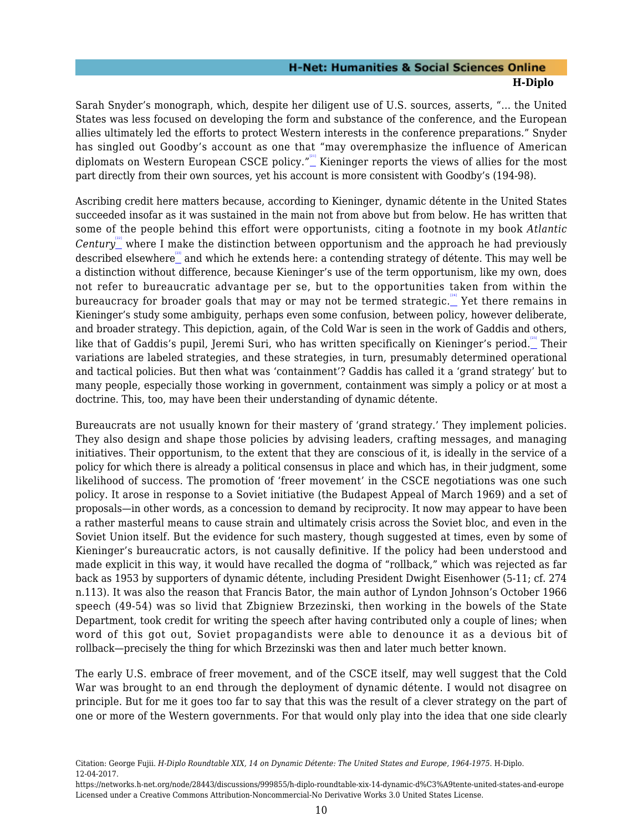Sarah Snyder's monograph, which, despite her diligent use of U.S. sources, asserts, "… the United States was less focused on developing the form and substance of the conference, and the European allies ultimately led the efforts to protect Western interests in the conference preparations." Snyder has singled out Goodby's account as one that "may overemphasize the influence of American diplomats on Western European CSCE policy."<sup>""</sup> Kieninger reports the views of allies for the most part directly from their own sources, yet his account is more consistent with Goodby's (194-98).

<span id="page-11-3"></span><span id="page-11-2"></span><span id="page-11-1"></span><span id="page-11-0"></span>Ascribing credit here matters because, according to Kieninger, dynamic détente in the United States succeeded insofar as it was sustained in the main not from above but from below. He has written that some of the people behind this effort were opportunists, citing a footnote in my book *Atlantic Century* where I make the distinction between opportunism and the approach he had previously described elsewhere [\[23\]](#page-20-4) and which he extends here: a contending strategy of détente. This may well be a distinction without difference, because Kieninger's use of the term opportunism, like my own, does not refer to bureaucratic advantage per se, but to the opportunities taken from within the bureaucracy for broader goals that may or may not be termed strategic. $\mathbb{L}^{\mathbb{N}^d}$  Yet there remains in Kieninger's study some ambiguity, perhaps even some confusion, between policy, however deliberate, and broader strategy. This depiction, again, of the Cold War is seen in the work of Gaddis and others, like that of Gaddis's pupil, Jeremi Suri, who has written specifically on Kieninger's period.\_ Their variations are labeled strategies, and these strategies, in turn, presumably determined operational and tactical policies. But then what was 'containment'? Gaddis has called it a 'grand strategy' but to many people, especially those working in government, containment was simply a policy or at most a doctrine. This, too, may have been their understanding of dynamic détente.

<span id="page-11-4"></span>Bureaucrats are not usually known for their mastery of 'grand strategy.' They implement policies. They also design and shape those policies by advising leaders, crafting messages, and managing initiatives. Their opportunism, to the extent that they are conscious of it, is ideally in the service of a policy for which there is already a political consensus in place and which has, in their judgment, some likelihood of success. The promotion of 'freer movement' in the CSCE negotiations was one such policy. It arose in response to a Soviet initiative (the Budapest Appeal of March 1969) and a set of proposals—in other words, as a concession to demand by reciprocity. It now may appear to have been a rather masterful means to cause strain and ultimately crisis across the Soviet bloc, and even in the Soviet Union itself. But the evidence for such mastery, though suggested at times, even by some of Kieninger's bureaucratic actors, is not causally definitive. If the policy had been understood and made explicit in this way, it would have recalled the dogma of "rollback," which was rejected as far back as 1953 by supporters of dynamic détente, including President Dwight Eisenhower (5-11; cf. 274 n.113). It was also the reason that Francis Bator, the main author of Lyndon Johnson's October 1966 speech (49-54) was so livid that Zbigniew Brzezinski, then working in the bowels of the State Department, took credit for writing the speech after having contributed only a couple of lines; when word of this got out, Soviet propagandists were able to denounce it as a devious bit of rollback—precisely the thing for which Brzezinski was then and later much better known.

The early U.S. embrace of freer movement, and of the CSCE itself, may well suggest that the Cold War was brought to an end through the deployment of dynamic détente. I would not disagree on principle. But for me it goes too far to say that this was the result of a clever strategy on the part of one or more of the Western governments. For that would only play into the idea that one side clearly

Citation: George Fujii. *H-Diplo Roundtable XIX, 14 on Dynamic Détente: The United States and Europe, 1964-1975*. H-Diplo. 12-04-2017.

https://networks.h-net.org/node/28443/discussions/999855/h-diplo-roundtable-xix-14-dynamic-d%C3%A9tente-united-states-and-europe Licensed under a Creative Commons Attribution-Noncommercial-No Derivative Works 3.0 United States License.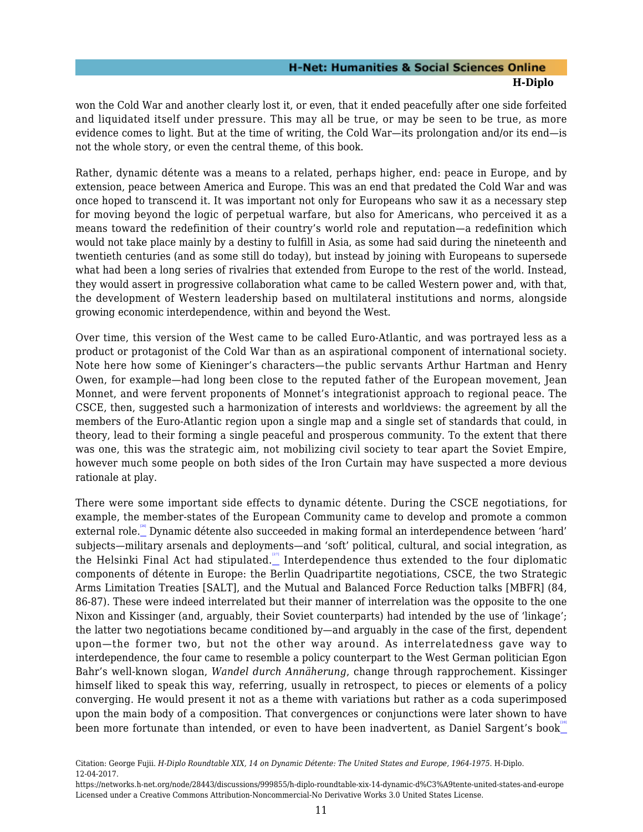won the Cold War and another clearly lost it, or even, that it ended peacefully after one side forfeited and liquidated itself under pressure. This may all be true, or may be seen to be true, as more evidence comes to light. But at the time of writing, the Cold War—its prolongation and/or its end—is not the whole story, or even the central theme, of this book.

Rather, dynamic détente was a means to a related, perhaps higher, end: peace in Europe, and by extension, peace between America and Europe. This was an end that predated the Cold War and was once hoped to transcend it. It was important not only for Europeans who saw it as a necessary step for moving beyond the logic of perpetual warfare, but also for Americans, who perceived it as a means toward the redefinition of their country's world role and reputation—a redefinition which would not take place mainly by a destiny to fulfill in Asia, as some had said during the nineteenth and twentieth centuries (and as some still do today), but instead by joining with Europeans to supersede what had been a long series of rivalries that extended from Europe to the rest of the world. Instead, they would assert in progressive collaboration what came to be called Western power and, with that, the development of Western leadership based on multilateral institutions and norms, alongside growing economic interdependence, within and beyond the West.

Over time, this version of the West came to be called Euro-Atlantic, and was portrayed less as a product or protagonist of the Cold War than as an aspirational component of international society. Note here how some of Kieninger's characters—the public servants Arthur Hartman and Henry Owen, for example—had long been close to the reputed father of the European movement, Jean Monnet, and were fervent proponents of Monnet's integrationist approach to regional peace. The CSCE, then, suggested such a harmonization of interests and worldviews: the agreement by all the members of the Euro-Atlantic region upon a single map and a single set of standards that could, in theory, lead to their forming a single peaceful and prosperous community. To the extent that there was one, this was the strategic aim, not mobilizing civil society to tear apart the Soviet Empire, however much some people on both sides of the Iron Curtain may have suspected a more devious rationale at play.

<span id="page-12-1"></span><span id="page-12-0"></span>There were some important side effects to dynamic détente. During the CSCE negotiations, for example, the member-states of the European Community came to develop and promote a common external role. [\[26\]](#page-20-7) Dynamic détente also succeeded in making formal an interdependence between 'hard' subjects—military arsenals and deployments—and 'soft' political, cultural, and social integration, as the Helsinki Final Act had stipulated. Interdependence thus extended to the four diplomatic components of détente in Europe: the Berlin Quadripartite negotiations, CSCE, the two Strategic Arms Limitation Treaties [SALT], and the Mutual and Balanced Force Reduction talks [MBFR] (84, 86-87). These were indeed interrelated but their manner of interrelation was the opposite to the one Nixon and Kissinger (and, arguably, their Soviet counterparts) had intended by the use of 'linkage'; the latter two negotiations became conditioned by—and arguably in the case of the first, dependent upon—the former two, but not the other way around. As interrelatedness gave way to interdependence, the four came to resemble a policy counterpart to the West German politician Egon Bahr's well-known slogan, *Wandel durch Annäherung*, change through rapprochement. Kissinger himself liked to speak this way, referring, usually in retrospect, to pieces or elements of a policy converging. He would present it not as a theme with variations but rather as a coda superimposed upon the main body of a composition. That convergences or conjunctions were later shown to have been more fortunate than intended, or even to have been inadvertent, as Daniel Sargent's book  $\mathbb{L}^{\mathbb{R}^n}$ 

<span id="page-12-2"></span>Citation: George Fujii. *H-Diplo Roundtable XIX, 14 on Dynamic Détente: The United States and Europe, 1964-1975*. H-Diplo. 12-04-2017.

https://networks.h-net.org/node/28443/discussions/999855/h-diplo-roundtable-xix-14-dynamic-d%C3%A9tente-united-states-and-europe Licensed under a Creative Commons Attribution-Noncommercial-No Derivative Works 3.0 United States License.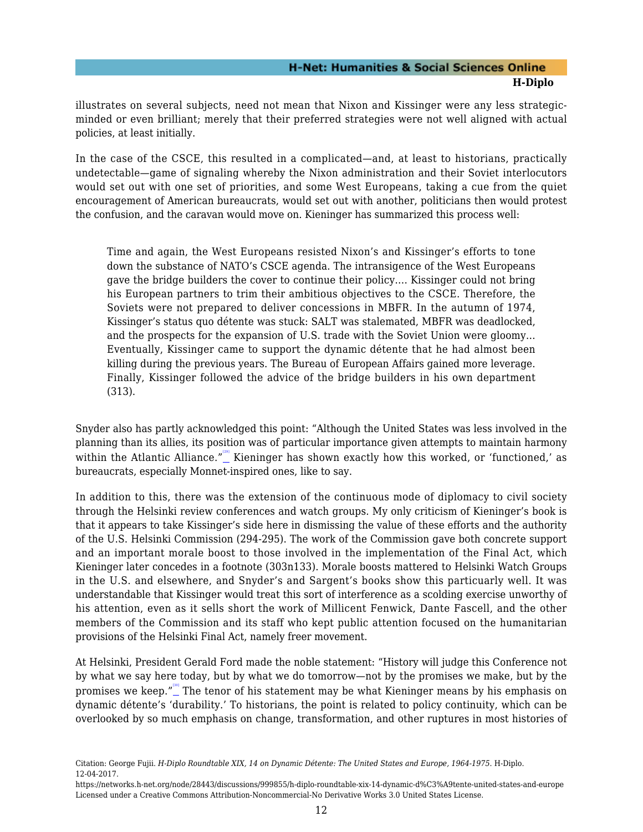illustrates on several subjects, need not mean that Nixon and Kissinger were any less strategicminded or even brilliant; merely that their preferred strategies were not well aligned with actual policies, at least initially.

In the case of the CSCE, this resulted in a complicated—and, at least to historians, practically undetectable—game of signaling whereby the Nixon administration and their Soviet interlocutors would set out with one set of priorities, and some West Europeans, taking a cue from the quiet encouragement of American bureaucrats, would set out with another, politicians then would protest the confusion, and the caravan would move on. Kieninger has summarized this process well:

Time and again, the West Europeans resisted Nixon's and Kissinger's efforts to tone down the substance of NATO's CSCE agenda. The intransigence of the West Europeans gave the bridge builders the cover to continue their policy…. Kissinger could not bring his European partners to trim their ambitious objectives to the CSCE. Therefore, the Soviets were not prepared to deliver concessions in MBFR. In the autumn of 1974, Kissinger's status quo détente was stuck: SALT was stalemated, MBFR was deadlocked, and the prospects for the expansion of U.S. trade with the Soviet Union were gloomy… Eventually, Kissinger came to support the dynamic détente that he had almost been killing during the previous years. The Bureau of European Affairs gained more leverage. Finally, Kissinger followed the advice of the bridge builders in his own department (313).

<span id="page-13-0"></span>Snyder also has partly acknowledged this point: "Although the United States was less involved in the planning than its allies, its position was of particular importance given attempts to maintain harmony within the Atlantic Alliance." $\overset{''^{29}}{-}$  Kieninger has shown exactly how this worked, or 'functioned,' as bureaucrats, especially Monnet-inspired ones, like to say.

In addition to this, there was the extension of the continuous mode of diplomacy to civil society through the Helsinki review conferences and watch groups. My only criticism of Kieninger's book is that it appears to take Kissinger's side here in dismissing the value of these efforts and the authority of the U.S. Helsinki Commission (294-295). The work of the Commission gave both concrete support and an important morale boost to those involved in the implementation of the Final Act, which Kieninger later concedes in a footnote (303n133). Morale boosts mattered to Helsinki Watch Groups in the U.S. and elsewhere, and Snyder's and Sargent's books show this particuarly well. It was understandable that Kissinger would treat this sort of interference as a scolding exercise unworthy of his attention, even as it sells short the work of Millicent Fenwick, Dante Fascell, and the other members of the Commission and its staff who kept public attention focused on the humanitarian provisions of the Helsinki Final Act, namely freer movement.

<span id="page-13-1"></span>At Helsinki, President Gerald Ford made the noble statement: "History will judge this Conference not by what we say here today, but by what we do tomorrow—not by the promises we make, but by the promises we keep." $\overset{\text{\tiny{[10]}}}{-}$  The tenor of his statement may be what Kieninger means by his emphasis on dynamic détente's 'durability.' To historians, the point is related to policy continuity, which can be overlooked by so much emphasis on change, transformation, and other ruptures in most histories of

Citation: George Fujii. *H-Diplo Roundtable XIX, 14 on Dynamic Détente: The United States and Europe, 1964-1975*. H-Diplo. 12-04-2017.

https://networks.h-net.org/node/28443/discussions/999855/h-diplo-roundtable-xix-14-dynamic-d%C3%A9tente-united-states-and-europe Licensed under a Creative Commons Attribution-Noncommercial-No Derivative Works 3.0 United States License.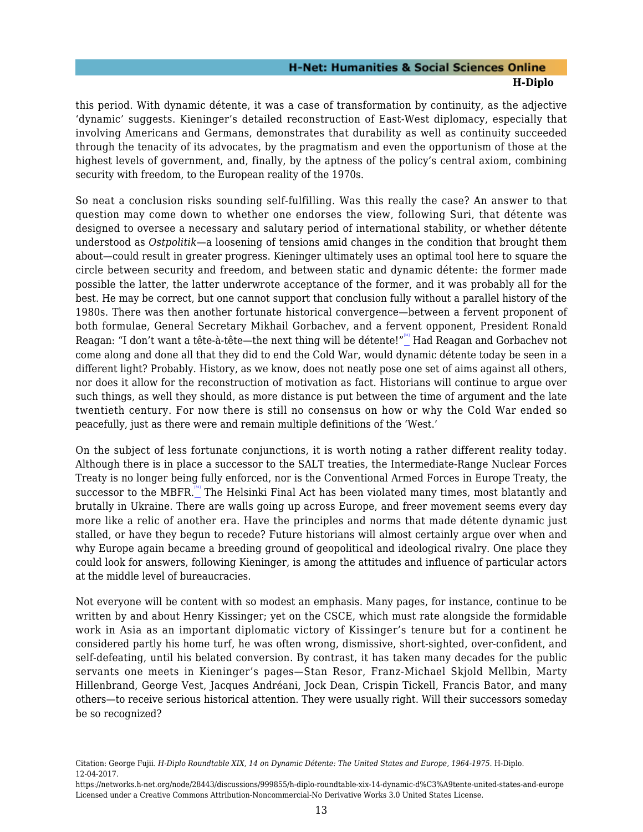this period. With dynamic détente, it was a case of transformation by continuity, as the adjective 'dynamic' suggests. Kieninger's detailed reconstruction of East-West diplomacy, especially that involving Americans and Germans, demonstrates that durability as well as continuity succeeded through the tenacity of its advocates, by the pragmatism and even the opportunism of those at the highest levels of government, and, finally, by the aptness of the policy's central axiom, combining security with freedom, to the European reality of the 1970s.

So neat a conclusion risks sounding self-fulfilling. Was this really the case? An answer to that question may come down to whether one endorses the view, following Suri, that détente was designed to oversee a necessary and salutary period of international stability, or whether détente understood as *Ostpolitik*—a loosening of tensions amid changes in the condition that brought them about—could result in greater progress. Kieninger ultimately uses an optimal tool here to square the circle between security and freedom, and between static and dynamic détente: the former made possible the latter, the latter underwrote acceptance of the former, and it was probably all for the best. He may be correct, but one cannot support that conclusion fully without a parallel history of the 1980s. There was then another fortunate historical convergence—between a fervent proponent of both formulae, General Secretary Mikhail Gorbachev, and a fervent opponent, President Ronald Reagan: "I don't want a tête-à-tête—the next thing will be détente!"\_ Had Reagan and Gorbachev not come along and done all that they did to end the Cold War, would dynamic détente today be seen in a different light? Probably. History, as we know, does not neatly pose one set of aims against all others, nor does it allow for the reconstruction of motivation as fact. Historians will continue to argue over such things, as well they should, as more distance is put between the time of argument and the late twentieth century. For now there is still no consensus on how or why the Cold War ended so peacefully, just as there were and remain multiple definitions of the 'West.'

<span id="page-14-1"></span><span id="page-14-0"></span>On the subject of less fortunate conjunctions, it is worth noting a rather different reality today. Although there is in place a successor to the SALT treaties, the Intermediate-Range Nuclear Forces Treaty is no longer being fully enforced, nor is the Conventional Armed Forces in Europe Treaty, the successor to the MBFR. $\overset{\text{\tiny{[3]}}}{-}$  The Helsinki Final Act has been violated many times, most blatantly and brutally in Ukraine. There are walls going up across Europe, and freer movement seems every day more like a relic of another era. Have the principles and norms that made détente dynamic just stalled, or have they begun to recede? Future historians will almost certainly argue over when and why Europe again became a breeding ground of geopolitical and ideological rivalry. One place they could look for answers, following Kieninger, is among the attitudes and influence of particular actors at the middle level of bureaucracies.

Not everyone will be content with so modest an emphasis. Many pages, for instance, continue to be written by and about Henry Kissinger; yet on the CSCE, which must rate alongside the formidable work in Asia as an important diplomatic victory of Kissinger's tenure but for a continent he considered partly his home turf, he was often wrong, dismissive, short-sighted, over-confident, and self-defeating, until his belated conversion. By contrast, it has taken many decades for the public servants one meets in Kieninger's pages—Stan Resor, Franz-Michael Skjold Mellbin, Marty Hillenbrand, George Vest, Jacques Andréani, Jock Dean, Crispin Tickell, Francis Bator, and many others—to receive serious historical attention. They were usually right. Will their successors someday be so recognized?

Citation: George Fujii. *H-Diplo Roundtable XIX, 14 on Dynamic Détente: The United States and Europe, 1964-1975*. H-Diplo. 12-04-2017.

https://networks.h-net.org/node/28443/discussions/999855/h-diplo-roundtable-xix-14-dynamic-d%C3%A9tente-united-states-and-europe Licensed under a Creative Commons Attribution-Noncommercial-No Derivative Works 3.0 United States License.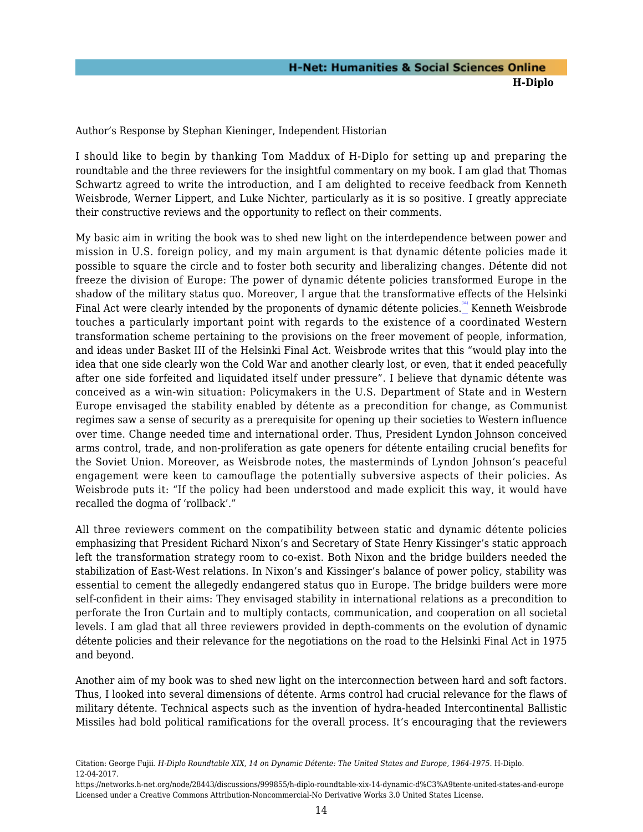<span id="page-15-0"></span>Author's Response by Stephan Kieninger, Independent Historian

I should like to begin by thanking Tom Maddux of H-Diplo for setting up and preparing the roundtable and the three reviewers for the insightful commentary on my book. I am glad that Thomas Schwartz agreed to write the introduction, and I am delighted to receive feedback from Kenneth Weisbrode, Werner Lippert, and Luke Nichter, particularly as it is so positive. I greatly appreciate their constructive reviews and the opportunity to reflect on their comments.

<span id="page-15-1"></span>My basic aim in writing the book was to shed new light on the interdependence between power and mission in U.S. foreign policy, and my main argument is that dynamic détente policies made it possible to square the circle and to foster both security and liberalizing changes. Détente did not freeze the division of Europe: The power of dynamic détente policies transformed Europe in the shadow of the military status quo. Moreover, I argue that the transformative effects of the Helsinki Final Act were clearly intended by the proponents of dynamic détente policies. Kenneth Weisbrode touches a particularly important point with regards to the existence of a coordinated Western transformation scheme pertaining to the provisions on the freer movement of people, information, and ideas under Basket III of the Helsinki Final Act. Weisbrode writes that this "would play into the idea that one side clearly won the Cold War and another clearly lost, or even, that it ended peacefully after one side forfeited and liquidated itself under pressure". I believe that dynamic détente was conceived as a win-win situation: Policymakers in the U.S. Department of State and in Western Europe envisaged the stability enabled by détente as a precondition for change, as Communist regimes saw a sense of security as a prerequisite for opening up their societies to Western influence over time. Change needed time and international order. Thus, President Lyndon Johnson conceived arms control, trade, and non-proliferation as gate openers for détente entailing crucial benefits for the Soviet Union. Moreover, as Weisbrode notes, the masterminds of Lyndon Johnson's peaceful engagement were keen to camouflage the potentially subversive aspects of their policies. As Weisbrode puts it: "If the policy had been understood and made explicit this way, it would have recalled the dogma of 'rollback'."

All three reviewers comment on the compatibility between static and dynamic détente policies emphasizing that President Richard Nixon's and Secretary of State Henry Kissinger's static approach left the transformation strategy room to co-exist. Both Nixon and the bridge builders needed the stabilization of East-West relations. In Nixon's and Kissinger's balance of power policy, stability was essential to cement the allegedly endangered status quo in Europe. The bridge builders were more self-confident in their aims: They envisaged stability in international relations as a precondition to perforate the Iron Curtain and to multiply contacts, communication, and cooperation on all societal levels. I am glad that all three reviewers provided in depth-comments on the evolution of dynamic détente policies and their relevance for the negotiations on the road to the Helsinki Final Act in 1975 and beyond.

Another aim of my book was to shed new light on the interconnection between hard and soft factors. Thus, I looked into several dimensions of détente. Arms control had crucial relevance for the flaws of military détente. Technical aspects such as the invention of hydra-headed Intercontinental Ballistic Missiles had bold political ramifications for the overall process. It's encouraging that the reviewers

Citation: George Fujii. *H-Diplo Roundtable XIX, 14 on Dynamic Détente: The United States and Europe, 1964-1975*. H-Diplo. 12-04-2017.

https://networks.h-net.org/node/28443/discussions/999855/h-diplo-roundtable-xix-14-dynamic-d%C3%A9tente-united-states-and-europe Licensed under a Creative Commons Attribution-Noncommercial-No Derivative Works 3.0 United States License.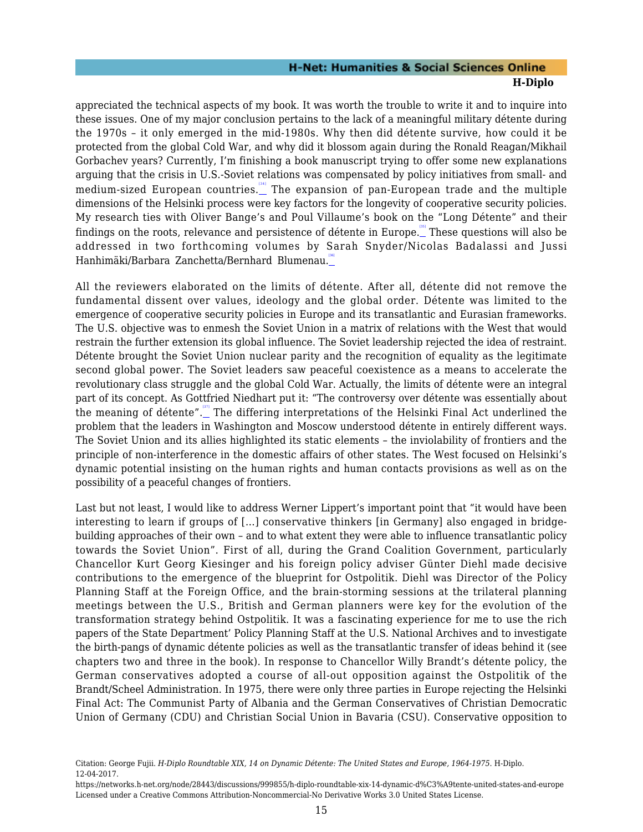<span id="page-16-0"></span>appreciated the technical aspects of my book. It was worth the trouble to write it and to inquire into these issues. One of my major conclusion pertains to the lack of a meaningful military détente during the 1970s – it only emerged in the mid-1980s. Why then did détente survive, how could it be protected from the global Cold War, and why did it blossom again during the Ronald Reagan/Mikhail Gorbachev years? Currently, I'm finishing a book manuscript trying to offer some new explanations arguing that the crisis in U.S.-Soviet relations was compensated by policy initiatives from small- and medium-sized European countries. [\[34\]](#page-21-1) The expansion of pan-European trade and the multiple dimensions of the Helsinki process were key factors for the longevity of cooperative security policies. My research ties with Oliver Bange's and Poul Villaume's book on the "Long Détente" and their findings on the roots, relevance and persistence of détente in Europe. $\overset{\text{\tiny def}}{=}$  These questions will also be addressed in two forthcoming volumes by Sarah Snyder/Nicolas Badalassi and Jussi Hanhimäki/Barbara Zanchetta/Bernhard Blumenau.

<span id="page-16-2"></span><span id="page-16-1"></span>All the reviewers elaborated on the limits of détente. After all, détente did not remove the fundamental dissent over values, ideology and the global order. Détente was limited to the emergence of cooperative security policies in Europe and its transatlantic and Eurasian frameworks. The U.S. objective was to enmesh the Soviet Union in a matrix of relations with the West that would restrain the further extension its global influence. The Soviet leadership rejected the idea of restraint. Détente brought the Soviet Union nuclear parity and the recognition of equality as the legitimate second global power. The Soviet leaders saw peaceful coexistence as a means to accelerate the revolutionary class struggle and the global Cold War. Actually, the limits of détente were an integral part of its concept. As Gottfried Niedhart put it: "The controversy over détente was essentially about the meaning of détente". The differing interpretations of the Helsinki Final Act underlined the problem that the leaders in Washington and Moscow understood détente in entirely different ways. The Soviet Union and its allies highlighted its static elements – the inviolability of frontiers and the principle of non-interference in the domestic affairs of other states. The West focused on Helsinki's dynamic potential insisting on the human rights and human contacts provisions as well as on the possibility of a peaceful changes of frontiers.

<span id="page-16-3"></span>Last but not least, I would like to address Werner Lippert's important point that "it would have been interesting to learn if groups of […] conservative thinkers [in Germany] also engaged in bridgebuilding approaches of their own – and to what extent they were able to influence transatlantic policy towards the Soviet Union". First of all, during the Grand Coalition Government, particularly Chancellor Kurt Georg Kiesinger and his foreign policy adviser Günter Diehl made decisive contributions to the emergence of the blueprint for Ostpolitik. Diehl was Director of the Policy Planning Staff at the Foreign Office, and the brain-storming sessions at the trilateral planning meetings between the U.S., British and German planners were key for the evolution of the transformation strategy behind Ostpolitik. It was a fascinating experience for me to use the rich papers of the State Department' Policy Planning Staff at the U.S. National Archives and to investigate the birth-pangs of dynamic détente policies as well as the transatlantic transfer of ideas behind it (see chapters two and three in the book). In response to Chancellor Willy Brandt's détente policy, the German conservatives adopted a course of all-out opposition against the Ostpolitik of the Brandt/Scheel Administration. In 1975, there were only three parties in Europe rejecting the Helsinki Final Act: The Communist Party of Albania and the German Conservatives of Christian Democratic Union of Germany (CDU) and Christian Social Union in Bavaria (CSU). Conservative opposition to

Citation: George Fujii. *H-Diplo Roundtable XIX, 14 on Dynamic Détente: The United States and Europe, 1964-1975*. H-Diplo. 12-04-2017.

https://networks.h-net.org/node/28443/discussions/999855/h-diplo-roundtable-xix-14-dynamic-d%C3%A9tente-united-states-and-europe Licensed under a Creative Commons Attribution-Noncommercial-No Derivative Works 3.0 United States License.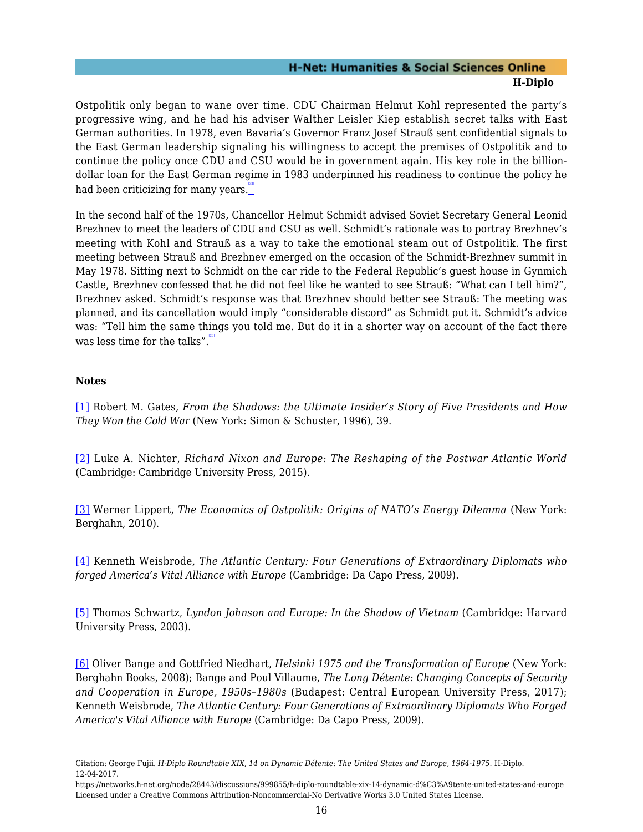Ostpolitik only began to wane over time. CDU Chairman Helmut Kohl represented the party's progressive wing, and he had his adviser Walther Leisler Kiep establish secret talks with East German authorities. In 1978, even Bavaria's Governor Franz Josef Strauß sent confidential signals to the East German leadership signaling his willingness to accept the premises of Ostpolitik and to continue the policy once CDU and CSU would be in government again. His key role in the billiondollar loan for the East German regime in 1983 underpinned his readiness to continue the policy he had been criticizing for many years.

<span id="page-17-6"></span>In the second half of the 1970s, Chancellor Helmut Schmidt advised Soviet Secretary General Leonid Brezhnev to meet the leaders of CDU and CSU as well. Schmidt's rationale was to portray Brezhnev's meeting with Kohl and Strauß as a way to take the emotional steam out of Ostpolitik. The first meeting between Strauß and Brezhnev emerged on the occasion of the Schmidt-Brezhnev summit in May 1978. Sitting next to Schmidt on the car ride to the Federal Republic's guest house in Gynmich Castle, Brezhnev confessed that he did not feel like he wanted to see Strauß: "What can I tell him?", Brezhnev asked. Schmidt's response was that Brezhnev should better see Strauß: The meeting was planned, and its cancellation would imply "considerable discord" as Schmidt put it. Schmidt's advice was: "Tell him the same things you told me. But do it in a shorter way on account of the fact there was less time for the talks". $\frac{139}{1}$ 

#### <span id="page-17-7"></span>**Notes**

<span id="page-17-0"></span>[\[1\]](#page-2-1) Robert M. Gates, *From the Shadows: the Ultimate Insider's Story of Five Presidents and How They Won the Cold War* (New York: Simon & Schuster, 1996), 39.

<span id="page-17-1"></span>[\[2\]](#page-3-0) Luke A. Nichter, *Richard Nixon and Europe: The Reshaping of the Postwar Atlantic World* (Cambridge: Cambridge University Press, 2015).

<span id="page-17-2"></span>[\[3\]](#page-3-1) Werner Lippert, *The Economics of Ostpolitik: Origins of NATO's Energy Dilemma* (New York: Berghahn, 2010).

<span id="page-17-3"></span>[\[4\]](#page-3-2) Kenneth Weisbrode, *The Atlantic Century: Four Generations of Extraordinary Diplomats who forged America's Vital Alliance with Europe* (Cambridge: Da Capo Press, 2009).

<span id="page-17-4"></span>[\[5\]](#page-4-0) Thomas Schwartz, *Lyndon Johnson and Europe: In the Shadow of Vietnam* (Cambridge: Harvard University Press, 2003).

<span id="page-17-5"></span>[\[6\]](#page-5-1) Oliver Bange and Gottfried Niedhart, *Helsinki 1975 and the Transformation of Europe* (New York: Berghahn Books, 2008); Bange and Poul Villaume, *The Long Détente: Changing Concepts of Security and Cooperation in Europe, 1950s–1980s* (Budapest: Central European University Press, 2017); Kenneth Weisbrode, *The Atlantic Century: Four Generations of Extraordinary Diplomats Who Forged America's Vital Alliance with Europe* (Cambridge: Da Capo Press, 2009).

Citation: George Fujii. *H-Diplo Roundtable XIX, 14 on Dynamic Détente: The United States and Europe, 1964-1975*. H-Diplo. 12-04-2017.

https://networks.h-net.org/node/28443/discussions/999855/h-diplo-roundtable-xix-14-dynamic-d%C3%A9tente-united-states-and-europe Licensed under a Creative Commons Attribution-Noncommercial-No Derivative Works 3.0 United States License.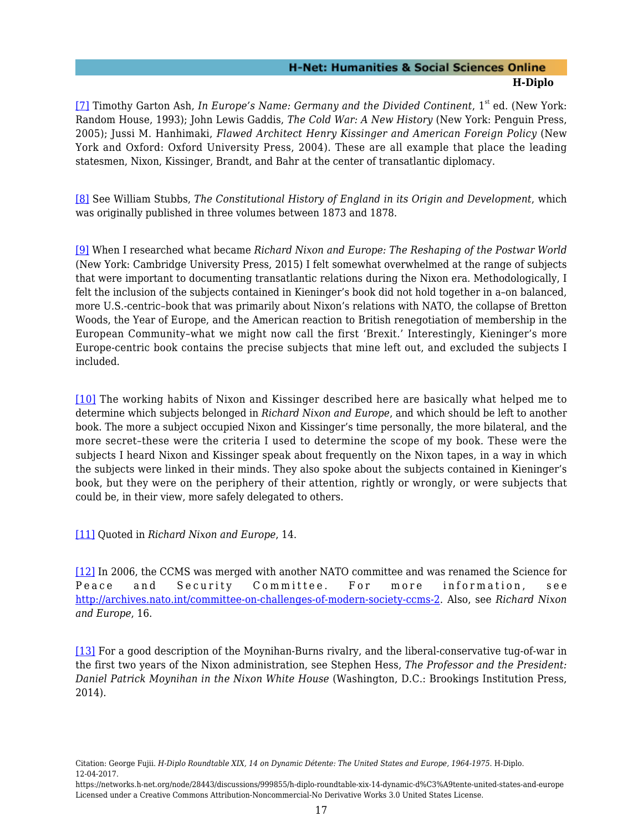<span id="page-18-0"></span>[\[7\]](#page-5-2) Timothy Garton Ash, *In Europe's Name: Germany and the Divided Continent*, 1<sup>st</sup> ed. (New York: Random House, 1993); John Lewis Gaddis, *The Cold War: A New History* (New York: Penguin Press, 2005); Jussi M. Hanhimaki, *Flawed Architect Henry Kissinger and American Foreign Policy* (New York and Oxford: Oxford University Press, 2004). These are all example that place the leading statesmen, Nixon, Kissinger, Brandt, and Bahr at the center of transatlantic diplomacy.

<span id="page-18-1"></span>[\[8\]](#page-7-1) See William Stubbs, *The Constitutional History of England in its Origin and Development*, which was originally published in three volumes between 1873 and 1878.

<span id="page-18-2"></span>[\[9\]](#page-7-2) When I researched what became *Richard Nixon and Europe: The Reshaping of the Postwar World* (New York: Cambridge University Press, 2015) I felt somewhat overwhelmed at the range of subjects that were important to documenting transatlantic relations during the Nixon era. Methodologically, I felt the inclusion of the subjects contained in Kieninger's book did not hold together in a–on balanced, more U.S.-centric–book that was primarily about Nixon's relations with NATO, the collapse of Bretton Woods, the Year of Europe, and the American reaction to British renegotiation of membership in the European Community–what we might now call the first 'Brexit.' Interestingly, Kieninger's more Europe-centric book contains the precise subjects that mine left out, and excluded the subjects I included.

<span id="page-18-3"></span>[\[10\]](#page-7-3) The working habits of Nixon and Kissinger described here are basically what helped me to determine which subjects belonged in *Richard Nixon and Europe*, and which should be left to another book. The more a subject occupied Nixon and Kissinger's time personally, the more bilateral, and the more secret–these were the criteria I used to determine the scope of my book. These were the subjects I heard Nixon and Kissinger speak about frequently on the Nixon tapes, in a way in which the subjects were linked in their minds. They also spoke about the subjects contained in Kieninger's book, but they were on the periphery of their attention, rightly or wrongly, or were subjects that could be, in their view, more safely delegated to others.

<span id="page-18-4"></span>[\[11\]](#page-8-0) Quoted in *Richard Nixon and Europe*, 14.

<span id="page-18-5"></span>[\[12\]](#page-8-1) In 2006, the CCMS was merged with another NATO committee and was renamed the Science for Peace and Security Committee. For more information, see <http://archives.nato.int/committee-on-challenges-of-modern-society-ccms-2>. Also, see *Richard Nixon and Europe*, 16.

<span id="page-18-6"></span>[\[13\]](#page-8-2) For a good description of the Moynihan-Burns rivalry, and the liberal-conservative tug-of-war in the first two years of the Nixon administration, see Stephen Hess, *The Professor and the President: Daniel Patrick Moynihan in the Nixon White House* (Washington, D.C.: Brookings Institution Press, 2014).

<span id="page-18-7"></span>Citation: George Fujii. *H-Diplo Roundtable XIX, 14 on Dynamic Détente: The United States and Europe, 1964-1975*. H-Diplo. 12-04-2017.

https://networks.h-net.org/node/28443/discussions/999855/h-diplo-roundtable-xix-14-dynamic-d%C3%A9tente-united-states-and-europe Licensed under a Creative Commons Attribution-Noncommercial-No Derivative Works 3.0 United States License.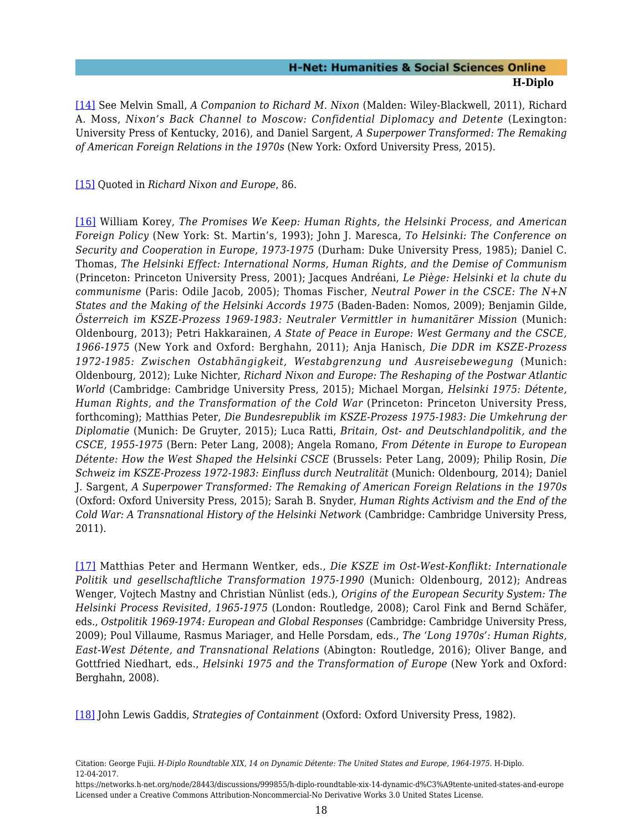[\[14\]](#page-8-3) See Melvin Small, *A Companion to Richard M. Nixon* (Malden: Wiley-Blackwell, 2011), Richard A. Moss, *Nixon's Back Channel to Moscow: Confidential Diplomacy and Detente* (Lexington: University Press of Kentucky, 2016), and Daniel Sargent, *A Superpower Transformed: The Remaking of American Foreign Relations in the 1970s* (New York: Oxford University Press, 2015).

<span id="page-19-0"></span>[\[15\]](#page-9-1) Quoted in *Richard Nixon and Europe*, 86.

<span id="page-19-1"></span>[\[16\]](#page-9-2) William Korey, *The Promises We Keep: Human Rights, the Helsinki Process, and American Foreign Policy* (New York: St. Martin's, 1993); John J. Maresca, *To Helsinki: The Conference on Security and Cooperation in Europe, 1973-1975* (Durham: Duke University Press, 1985); Daniel C. Thomas, *The Helsinki Effect: International Norms, Human Rights, and the Demise of Communism* (Princeton: Princeton University Press, 2001); Jacques Andréani, *Le Piège: Helsinki et la chute du communisme* (Paris: Odile Jacob, 2005); Thomas Fischer, *Neutral Power in the CSCE: The N+N States and the Making of the Helsinki Accords 1975* (Baden-Baden: Nomos, 2009); Benjamin Gilde, *Österreich im KSZE-Prozess 1969-1983: Neutraler Vermittler in humanitärer Mission* (Munich: Oldenbourg, 2013); Petri Hakkarainen, *A State of Peace in Europe: West Germany and the CSCE, 1966-1975* (New York and Oxford: Berghahn, 2011); Anja Hanisch, *Die DDR im KSZE-Prozess 1972-1985: Zwischen Ostabhängigkeit, Westabgrenzung und Ausreisebewegung* (Munich: Oldenbourg, 2012); Luke Nichter, *Richard Nixon and Europe: The Reshaping of the Postwar Atlantic World* (Cambridge: Cambridge University Press, 2015); Michael Morgan, *Helsinki 1975: Détente, Human Rights, and the Transformation of the Cold War* (Princeton: Princeton University Press, forthcoming); Matthias Peter, *Die Bundesrepublik im KSZE-Prozess 1975-1983: Die Umkehrung der Diplomatie* (Munich: De Gruyter, 2015); Luca Ratti, *Britain, Ost- and Deutschlandpolitik, and the CSCE, 1955-1975* (Bern: Peter Lang, 2008); Angela Romano, *From Détente in Europe to European Détente: How the West Shaped the Helsinki CSCE* (Brussels: Peter Lang, 2009); Philip Rosin, *Die Schweiz im KSZE-Prozess 1972-1983: Einfluss durch Neutralität* (Munich: Oldenbourg, 2014); Daniel J. Sargent, *A Superpower Transformed: The Remaking of American Foreign Relations in the 1970s* (Oxford: Oxford University Press, 2015); Sarah B. Snyder, *Human Rights Activism and the End of the Cold War: A Transnational History of the Helsinki Network* (Cambridge: Cambridge University Press, 2011).

<span id="page-19-2"></span>[\[17\]](#page-9-2) Matthias Peter and Hermann Wentker, eds., *Die KSZE im Ost-West-Konflikt: Internationale Politik und gesellschaftliche Transformation 1975-1990* (Munich: Oldenbourg, 2012); Andreas Wenger, Vojtech Mastny and Christian Nünlist (eds.), *Origins of the European Security System: The Helsinki Process Revisited, 1965-1975* (London: Routledge, 2008); Carol Fink and Bernd Schäfer, eds., *Ostpolitik 1969-1974: European and Global Responses* (Cambridge: Cambridge University Press, 2009); Poul Villaume, Rasmus Mariager, and Helle Porsdam, eds., *The 'Long 1970s': Human Rights, East-West Détente, and Transnational Relations* (Abington: Routledge, 2016); Oliver Bange, and Gottfried Niedhart, eds., *Helsinki 1975 and the Transformation of Europe* (New York and Oxford: Berghahn, 2008).

<span id="page-19-3"></span>[\[18\]](#page-9-3) John Lewis Gaddis, *Strategies of Containment* (Oxford: Oxford University Press, 1982).

Citation: George Fujii. *H-Diplo Roundtable XIX, 14 on Dynamic Détente: The United States and Europe, 1964-1975*. H-Diplo. 12-04-2017.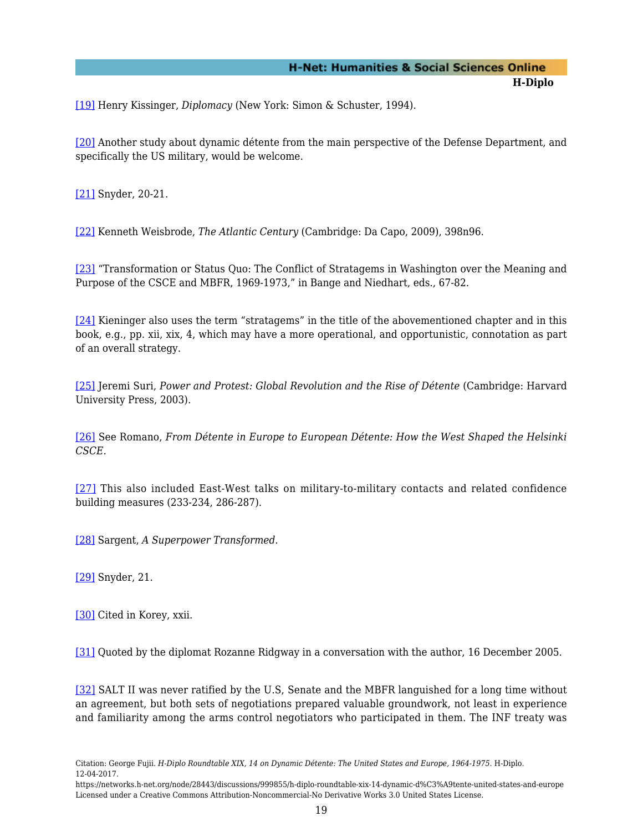<span id="page-20-0"></span>[\[19\]](#page-10-0) Henry Kissinger, *Diplomacy* (New York: Simon & Schuster, 1994).

<span id="page-20-1"></span>[\[20\]](#page-10-1) Another study about dynamic détente from the main perspective of the Defense Department, and specifically the US military, would be welcome.

<span id="page-20-2"></span>[\[21\]](#page-11-0) Snyder, 20-21.

<span id="page-20-3"></span>[\[22\]](#page-11-1) Kenneth Weisbrode, *The Atlantic Century* (Cambridge: Da Capo, 2009), 398n96.

<span id="page-20-4"></span>[\[23\]](#page-11-2) "Transformation or Status Quo: The Conflict of Stratagems in Washington over the Meaning and Purpose of the CSCE and MBFR, 1969-1973," in Bange and Niedhart, eds., 67-82.

<span id="page-20-5"></span>[\[24\]](#page-11-3) Kieninger also uses the term "stratagems" in the title of the abovementioned chapter and in this book, e.g., pp. xii, xix, 4, which may have a more operational, and opportunistic, connotation as part of an overall strategy.

<span id="page-20-6"></span>[\[25\]](#page-11-4) Jeremi Suri, *Power and Protest: Global Revolution and the Rise of Détente* (Cambridge: Harvard University Press, 2003).

<span id="page-20-7"></span>[\[26\]](#page-12-0) See Romano, *From Détente in Europe to European Détente: How the West Shaped the Helsinki CSCE.*

<span id="page-20-8"></span>[\[27\]](#page-12-1) This also included East-West talks on military-to-military contacts and related confidence building measures (233-234, 286-287).

<span id="page-20-9"></span>[\[28\]](#page-12-2) Sargent, *A Superpower Transformed.*

<span id="page-20-10"></span>[\[29\]](#page-13-0) Snyder, 21.

<span id="page-20-11"></span>[\[30\]](#page-13-1) Cited in Korey, xxii.

<span id="page-20-12"></span>[\[31\]](#page-14-0) Quoted by the diplomat Rozanne Ridgway in a conversation with the author, 16 December 2005.

<span id="page-20-13"></span>[\[32\]](#page-14-1) SALT II was never ratified by the U.S, Senate and the MBFR languished for a long time without an agreement, but both sets of negotiations prepared valuable groundwork, not least in experience and familiarity among the arms control negotiators who participated in them. The INF treaty was

Citation: George Fujii. *H-Diplo Roundtable XIX, 14 on Dynamic Détente: The United States and Europe, 1964-1975*. H-Diplo. 12-04-2017.

https://networks.h-net.org/node/28443/discussions/999855/h-diplo-roundtable-xix-14-dynamic-d%C3%A9tente-united-states-and-europe Licensed under a Creative Commons Attribution-Noncommercial-No Derivative Works 3.0 United States License.